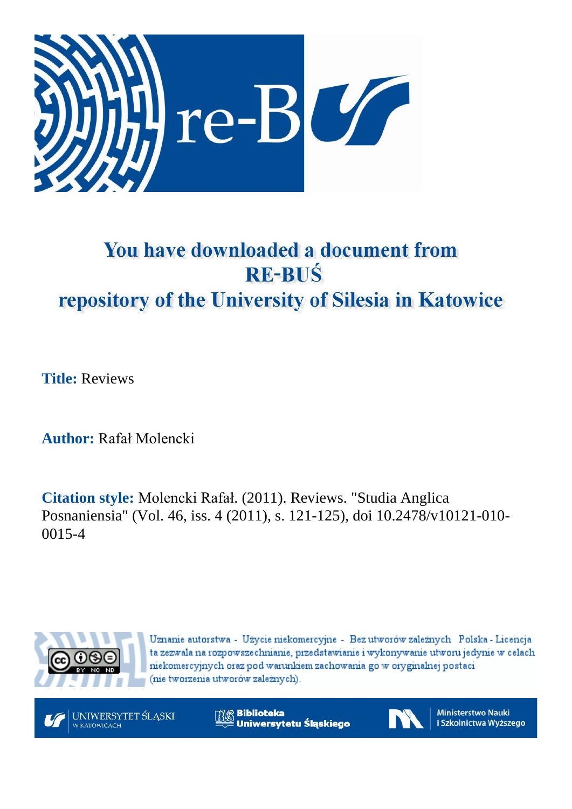

## You have downloaded a document from **RE-BUŚ** repository of the University of Silesia in Katowice

**Title:** Reviews

**Author:** Rafał Molencki

**Citation style:** Molencki Rafał. (2011). Reviews. "Studia Anglica Posnaniensia" (Vol. 46, iss. 4 (2011), s. 121-125), doi 10.2478/v10121-010- 0015-4



Uznanie autorstwa - Użycie niekomercyjne - Bez utworów zależnych Polska - Licencja ta zezwala na rozpowszechnianie, przedstawianie i wykonywanie utworu jedynie w celach niekomercyjnych oraz pod warunkiem zachowania go w oryginalnej postaci (nie tworzenia utworów zależnych).

UNIWERSYTET ŚLĄSKI W KATOWICACH

**Biblioteka** Uniwersytetu Śląskiego



**Ministerstwo Nauki** i Szkolnictwa Wyższego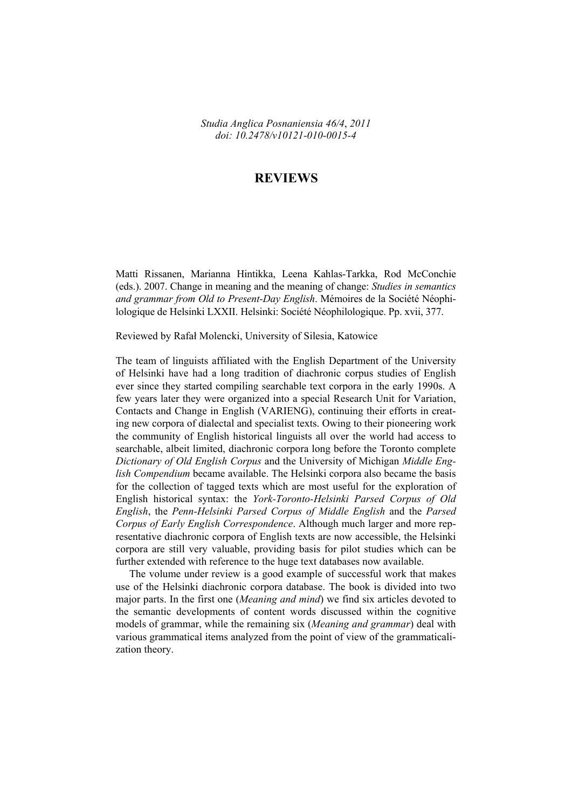*Studia Anglica Posnaniensia 46/4*, *2011 doi: 10.2478/v10121-010-0015-4* 

## **REVIEWS**

Matti Rissanen, Marianna Hintikka, Leena Kahlas-Tarkka, Rod McConchie (eds.). 2007. Change in meaning and the meaning of change: *Studies in semantics and grammar from Old to Present-Day English*. Mémoires de la Société Néophilologique de Helsinki LXXII. Helsinki: Société Néophilologique. Pp. xvii, 377.

Reviewed by Rafał Molencki, University of Silesia, Katowice

The team of linguists affiliated with the English Department of the University of Helsinki have had a long tradition of diachronic corpus studies of English ever since they started compiling searchable text corpora in the early 1990s. A few years later they were organized into a special Research Unit for Variation, Contacts and Change in English (VARIENG), continuing their efforts in creating new corpora of dialectal and specialist texts. Owing to their pioneering work the community of English historical linguists all over the world had access to searchable, albeit limited, diachronic corpora long before the Toronto complete *Dictionary of Old English Corpus* and the University of Michigan *Middle English Compendium* became available. The Helsinki corpora also became the basis for the collection of tagged texts which are most useful for the exploration of English historical syntax: the *York-Toronto-Helsinki Parsed Corpus of Old English*, the *Penn-Helsinki Parsed Corpus of Middle English* and the *Parsed Corpus of Early English Correspondence*. Although much larger and more representative diachronic corpora of English texts are now accessible, the Helsinki corpora are still very valuable, providing basis for pilot studies which can be further extended with reference to the huge text databases now available.

The volume under review is a good example of successful work that makes use of the Helsinki diachronic corpora database. The book is divided into two major parts. In the first one (*Meaning and mind*) we find six articles devoted to the semantic developments of content words discussed within the cognitive models of grammar, while the remaining six (*Meaning and grammar*) deal with various grammatical items analyzed from the point of view of the grammaticalization theory.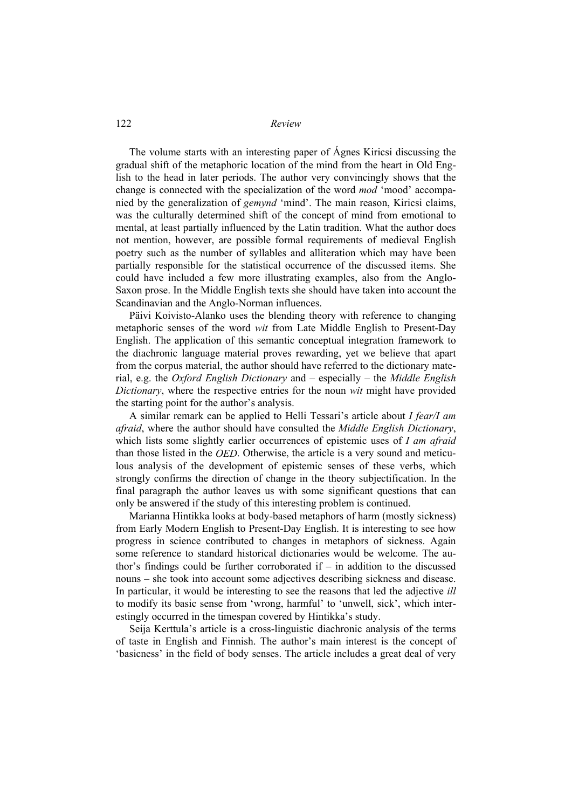The volume starts with an interesting paper of Ágnes Kiricsi discussing the gradual shift of the metaphoric location of the mind from the heart in Old English to the head in later periods. The author very convincingly shows that the change is connected with the specialization of the word *mod* 'mood' accompanied by the generalization of *gemynd* 'mind'. The main reason, Kiricsi claims, was the culturally determined shift of the concept of mind from emotional to mental, at least partially influenced by the Latin tradition. What the author does not mention, however, are possible formal requirements of medieval English poetry such as the number of syllables and alliteration which may have been partially responsible for the statistical occurrence of the discussed items. She could have included a few more illustrating examples, also from the Anglo-Saxon prose. In the Middle English texts she should have taken into account the Scandinavian and the Anglo-Norman influences.

Päivi Koivisto-Alanko uses the blending theory with reference to changing metaphoric senses of the word *wit* from Late Middle English to Present-Day English. The application of this semantic conceptual integration framework to the diachronic language material proves rewarding, yet we believe that apart from the corpus material, the author should have referred to the dictionary material, e.g. the *Oxford English Dictionary* and – especially – the *Middle English Dictionary*, where the respective entries for the noun *wit* might have provided the starting point for the author's analysis.

A similar remark can be applied to Helli Tessari's article about *I fear/I am afraid*, where the author should have consulted the *Middle English Dictionary*, which lists some slightly earlier occurrences of epistemic uses of *I am afraid* than those listed in the *OED*. Otherwise, the article is a very sound and meticulous analysis of the development of epistemic senses of these verbs, which strongly confirms the direction of change in the theory subjectification. In the final paragraph the author leaves us with some significant questions that can only be answered if the study of this interesting problem is continued.

Marianna Hintikka looks at body-based metaphors of harm (mostly sickness) from Early Modern English to Present-Day English. It is interesting to see how progress in science contributed to changes in metaphors of sickness. Again some reference to standard historical dictionaries would be welcome. The author's findings could be further corroborated  $if - in$  addition to the discussed nouns – she took into account some adjectives describing sickness and disease. In particular, it would be interesting to see the reasons that led the adjective *ill*  to modify its basic sense from 'wrong, harmful' to 'unwell, sick', which interestingly occurred in the timespan covered by Hintikka's study.

Seija Kerttula's article is a cross-linguistic diachronic analysis of the terms of taste in English and Finnish. The author's main interest is the concept of 'basicness' in the field of body senses. The article includes a great deal of very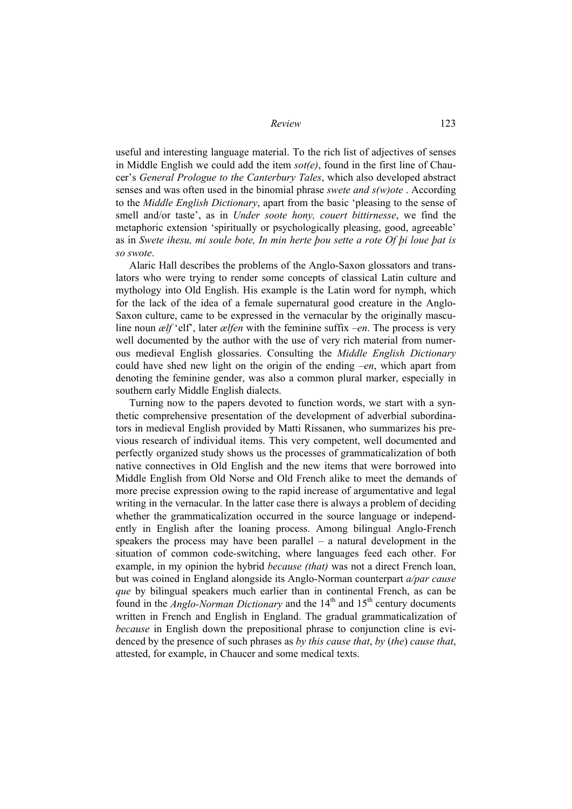useful and interesting language material. To the rich list of adjectives of senses in Middle English we could add the item *sot(e)*, found in the first line of Chaucer's *General Prologue to the Canterbury Tales*, which also developed abstract senses and was often used in the binomial phrase *swete and s(w)ote* . According to the *Middle English Dictionary*, apart from the basic 'pleasing to the sense of smell and/or taste', as in *Under soote hony, couert bittirnesse*, we find the metaphoric extension 'spiritually or psychologically pleasing, good, agreeable' as in *Swete ihesu, mi soule bote, In min herte þou sette a rote Of þi loue þat is so swote*.

Alaric Hall describes the problems of the Anglo-Saxon glossators and translators who were trying to render some concepts of classical Latin culture and mythology into Old English. His example is the Latin word for nymph, which for the lack of the idea of a female supernatural good creature in the Anglo-Saxon culture, came to be expressed in the vernacular by the originally masculine noun *ælf* 'elf', later *ælfen* with the feminine suffix *–en*. The process is very well documented by the author with the use of very rich material from numerous medieval English glossaries. Consulting the *Middle English Dictionary*  could have shed new light on the origin of the ending *–en*, which apart from denoting the feminine gender, was also a common plural marker, especially in southern early Middle English dialects.

Turning now to the papers devoted to function words, we start with a synthetic comprehensive presentation of the development of adverbial subordinators in medieval English provided by Matti Rissanen, who summarizes his previous research of individual items. This very competent, well documented and perfectly organized study shows us the processes of grammaticalization of both native connectives in Old English and the new items that were borrowed into Middle English from Old Norse and Old French alike to meet the demands of more precise expression owing to the rapid increase of argumentative and legal writing in the vernacular. In the latter case there is always a problem of deciding whether the grammaticalization occurred in the source language or independently in English after the loaning process. Among bilingual Anglo-French speakers the process may have been parallel – a natural development in the situation of common code-switching, where languages feed each other. For example, in my opinion the hybrid *because (that)* was not a direct French loan, but was coined in England alongside its Anglo-Norman counterpart *a/par cause que* by bilingual speakers much earlier than in continental French, as can be found in the *Anglo-Norman Dictionary* and the 14<sup>th</sup> and 15<sup>th</sup> century documents written in French and English in England. The gradual grammaticalization of *because* in English down the prepositional phrase to conjunction cline is evidenced by the presence of such phrases as *by this cause that*, *by* (*the*) *cause that*, attested, for example, in Chaucer and some medical texts.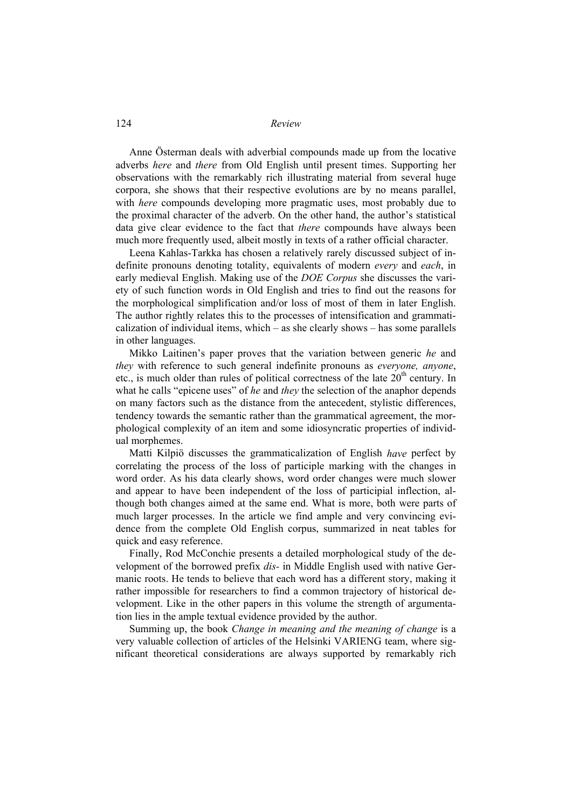Anne Österman deals with adverbial compounds made up from the locative adverbs *here* and *there* from Old English until present times. Supporting her observations with the remarkably rich illustrating material from several huge corpora, she shows that their respective evolutions are by no means parallel, with *here* compounds developing more pragmatic uses, most probably due to the proximal character of the adverb. On the other hand, the author's statistical data give clear evidence to the fact that *there* compounds have always been much more frequently used, albeit mostly in texts of a rather official character.

Leena Kahlas-Tarkka has chosen a relatively rarely discussed subject of indefinite pronouns denoting totality, equivalents of modern *every* and *each*, in early medieval English. Making use of the *DOE Corpus* she discusses the variety of such function words in Old English and tries to find out the reasons for the morphological simplification and/or loss of most of them in later English. The author rightly relates this to the processes of intensification and grammaticalization of individual items, which – as she clearly shows – has some parallels in other languages.

Mikko Laitinen's paper proves that the variation between generic *he* and *they* with reference to such general indefinite pronouns as *everyone, anyone*, etc., is much older than rules of political correctness of the late  $20<sup>th</sup>$  century. In what he calls "epicene uses" of *he* and *they* the selection of the anaphor depends on many factors such as the distance from the antecedent, stylistic differences, tendency towards the semantic rather than the grammatical agreement, the morphological complexity of an item and some idiosyncratic properties of individual morphemes.

Matti Kilpiö discusses the grammaticalization of English *have* perfect by correlating the process of the loss of participle marking with the changes in word order. As his data clearly shows, word order changes were much slower and appear to have been independent of the loss of participial inflection, although both changes aimed at the same end. What is more, both were parts of much larger processes. In the article we find ample and very convincing evidence from the complete Old English corpus, summarized in neat tables for quick and easy reference.

Finally, Rod McConchie presents a detailed morphological study of the development of the borrowed prefix *dis-* in Middle English used with native Germanic roots. He tends to believe that each word has a different story, making it rather impossible for researchers to find a common trajectory of historical development. Like in the other papers in this volume the strength of argumentation lies in the ample textual evidence provided by the author.

Summing up, the book *Change in meaning and the meaning of change* is a very valuable collection of articles of the Helsinki VARIENG team, where significant theoretical considerations are always supported by remarkably rich